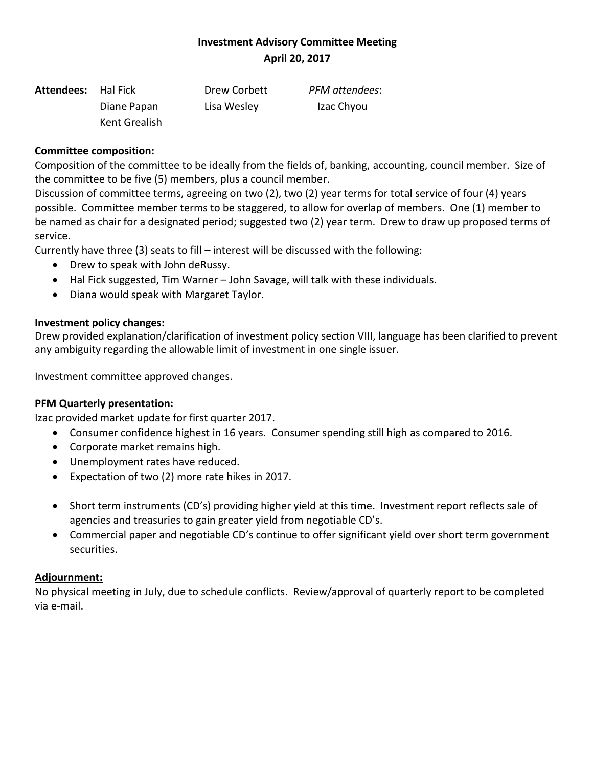## **Investment Advisory Committee Meeting April 20, 2017**

| <b>Attendees:</b> Hal Fick |               | Drew Corbett | PFM attendees: |
|----------------------------|---------------|--------------|----------------|
|                            | Diane Papan   | Lisa Wesley  | Izac Chyou     |
|                            | Kent Grealish |              |                |

### **Committee composition:**

Composition of the committee to be ideally from the fields of, banking, accounting, council member. Size of the committee to be five (5) members, plus a council member.

Discussion of committee terms, agreeing on two (2), two (2) year terms for total service of four (4) years possible. Committee member terms to be staggered, to allow for overlap of members. One (1) member to be named as chair for a designated period; suggested two (2) year term. Drew to draw up proposed terms of service.

Currently have three (3) seats to fill – interest will be discussed with the following:

- Drew to speak with John deRussy.
- Hal Fick suggested, Tim Warner John Savage, will talk with these individuals.
- Diana would speak with Margaret Taylor.

### **Investment policy changes:**

Drew provided explanation/clarification of investment policy section VIII, language has been clarified to prevent any ambiguity regarding the allowable limit of investment in one single issuer.

Investment committee approved changes.

### **PFM Quarterly presentation:**

Izac provided market update for first quarter 2017.

- Consumer confidence highest in 16 years. Consumer spending still high as compared to 2016.
- Corporate market remains high.
- Unemployment rates have reduced.
- Expectation of two (2) more rate hikes in 2017.
- Short term instruments (CD's) providing higher yield at this time. Investment report reflects sale of agencies and treasuries to gain greater yield from negotiable CD's.
- Commercial paper and negotiable CD's continue to offer significant yield over short term government securities.

### **Adjournment:**

No physical meeting in July, due to schedule conflicts. Review/approval of quarterly report to be completed via e-mail.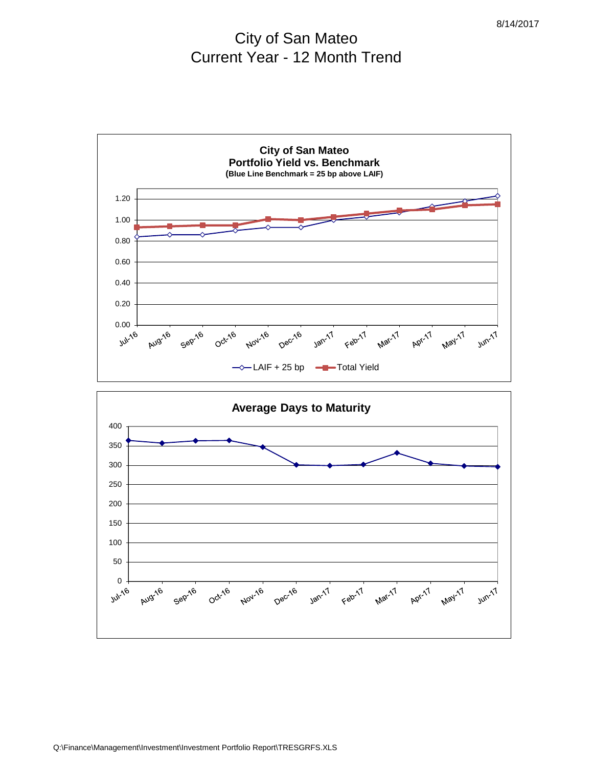# City of San Mateo Current Year - 12 Month Trend



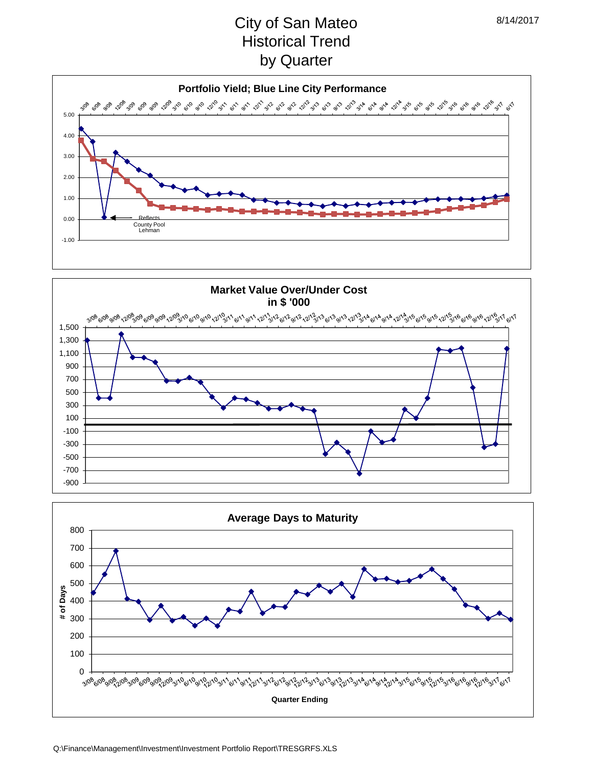# City of San Mateo Historical Trend by Quarter





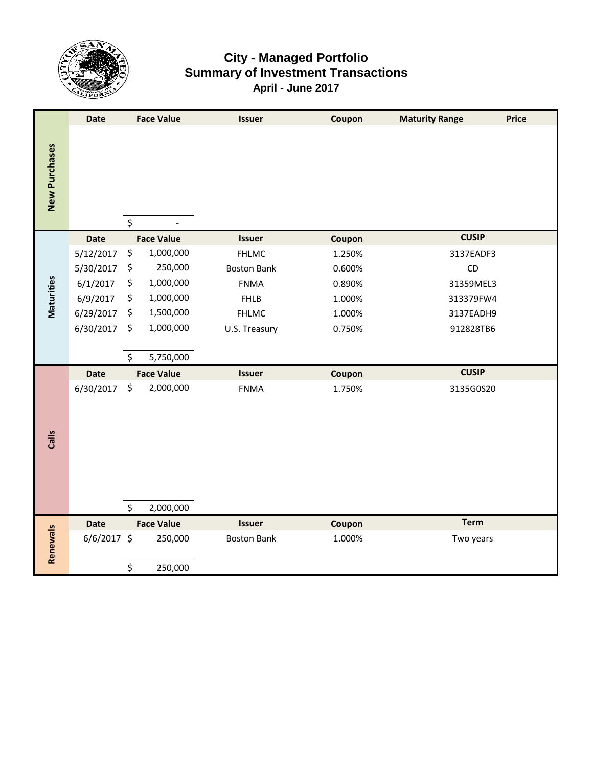

# **City - Managed Portfolio Summary of Investment Transactions April - June 2017**

|               | <b>Date</b> |         | <b>Face Value</b> | <b>Issuer</b>      | Coupon | <b>Maturity Range</b><br><b>Price</b> |
|---------------|-------------|---------|-------------------|--------------------|--------|---------------------------------------|
| New Purchases |             | $\zeta$ |                   |                    |        |                                       |
|               | <b>Date</b> |         | <b>Face Value</b> | <b>Issuer</b>      | Coupon | <b>CUSIP</b>                          |
|               | 5/12/2017   | \$      | 1,000,000         | <b>FHLMC</b>       | 1.250% | 3137EADF3                             |
|               | 5/30/2017   | \$      | 250,000           | <b>Boston Bank</b> | 0.600% | CD                                    |
|               | 6/1/2017    | \$      | 1,000,000         | <b>FNMA</b>        | 0.890% | 31359MEL3                             |
| Maturities    | 6/9/2017    | \$      | 1,000,000         | <b>FHLB</b>        | 1.000% | 313379FW4                             |
|               | 6/29/2017   | \$      | 1,500,000         | <b>FHLMC</b>       | 1.000% | 3137EADH9                             |
|               | 6/30/2017   | \$      | 1,000,000         | U.S. Treasury      | 0.750% | 912828TB6                             |
|               |             |         |                   |                    |        |                                       |
|               |             | \$      | 5,750,000         |                    |        |                                       |
|               | <b>Date</b> |         | <b>Face Value</b> | <b>Issuer</b>      | Coupon | <b>CUSIP</b>                          |
|               | 6/30/2017   | \$      | 2,000,000         | <b>FNMA</b>        | 1.750% | 3135G0S20                             |
|               |             |         |                   |                    |        |                                       |
|               |             |         |                   |                    |        |                                       |
| Calls         |             |         |                   |                    |        |                                       |
|               |             |         |                   |                    |        |                                       |
|               |             |         |                   |                    |        |                                       |
|               |             |         |                   |                    |        |                                       |
|               |             |         |                   |                    |        |                                       |
|               |             | $\zeta$ | 2,000,000         |                    |        |                                       |
|               | <b>Date</b> |         | <b>Face Value</b> | <b>Issuer</b>      | Coupon | <b>Term</b>                           |
| Renewals      | 6/6/2017 \$ |         | 250,000           | <b>Boston Bank</b> | 1.000% | Two years                             |
|               |             |         |                   |                    |        |                                       |
|               |             | $\zeta$ | 250,000           |                    |        |                                       |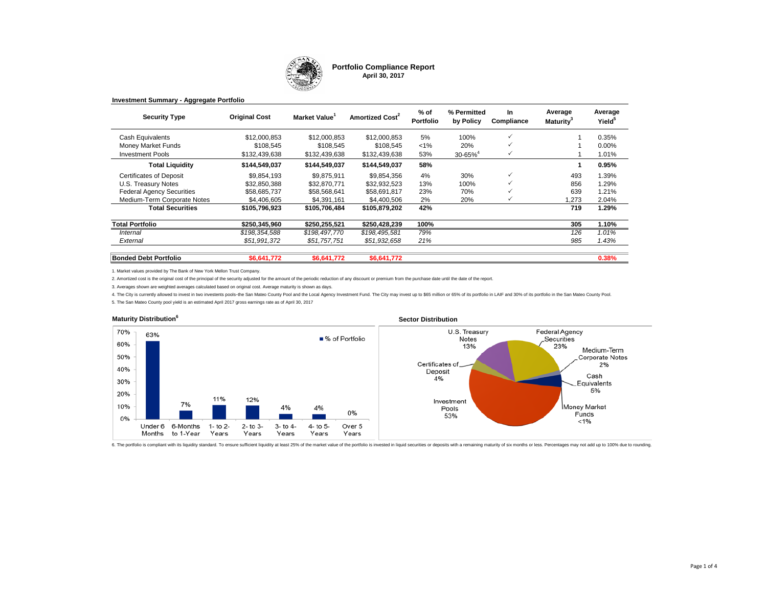

#### **Portfolio Compliance Report April 30, 2017**

| <b>Security Type</b>             | <b>Original Cost</b> | Market Value  | Amortized Cost <sup>2</sup> | % of<br><b>Portfolio</b> | % Permitted<br>by Policy | <b>In</b><br>Compliance | Average<br>Maturity <sup>3</sup> | Average<br>Yield <sup>5</sup> |
|----------------------------------|----------------------|---------------|-----------------------------|--------------------------|--------------------------|-------------------------|----------------------------------|-------------------------------|
| Cash Equivalents                 | \$12,000,853         | \$12,000.853  | \$12,000.853                | 5%                       | 100%                     | ✓                       |                                  | 0.35%                         |
| <b>Money Market Funds</b>        | \$108.545            | \$108,545     | \$108.545                   | $< 1\%$                  | 20%                      | $\checkmark$            |                                  | $0.00\%$                      |
| <b>Investment Pools</b>          | \$132,439,638        | \$132,439,638 | \$132,439,638               | 53%                      | $30 - 65%$ <sup>4</sup>  |                         |                                  | 1.01%                         |
| <b>Total Liquidity</b>           | \$144,549,037        | \$144,549,037 | \$144,549,037               | 58%                      |                          |                         |                                  | 0.95%                         |
| <b>Certificates of Deposit</b>   | \$9,854,193          | \$9,875,911   | \$9,854,356                 | 4%                       | 30%                      | $\checkmark$            | 493                              | 1.39%                         |
| U.S. Treasury Notes              | \$32,850,388         | \$32,870,771  | \$32.932.523                | 13%                      | 100%                     |                         | 856                              | 1.29%                         |
| <b>Federal Agency Securities</b> | \$58,685,737         | \$58.568.641  | \$58.691.817                | 23%                      | 70%                      |                         | 639                              | 1.21%                         |
| Medium-Term Corporate Notes      | \$4,406,605          | \$4,391,161   | \$4,400,506                 | 2%                       | 20%                      |                         | ,273                             | 2.04%                         |
| <b>Total Securities</b>          | \$105,796,923        | \$105,706,484 | \$105,879,202               | 42%                      |                          |                         | 719                              | 1.29%                         |
| <b>Total Portfolio</b>           | \$250,345,960        | \$250,255,521 | \$250,428,239               | 100%                     |                          |                         | 305                              | 1.10%                         |
| Internal                         | \$198,354,588        | \$198,497,770 | \$198,495,581               | 79%                      |                          |                         | 126                              | 1.01%                         |
| External                         | \$51,991,372         | \$51,757,751  | \$51,932,658                | 21%                      |                          |                         | 985                              | 1.43%                         |
| <b>Bonded Debt Portfolio</b>     | \$6,641,772          | \$6,641,772   | \$6,641,772                 |                          |                          |                         |                                  | 0.38%                         |

1. Market values provided by The Bank of New York Mellon Trust Company.

**Investment Summary - Aggregate Portfolio**

2. Amortized cost is the original cost of the principal of the security adjusted for the amount of the periodic reduction of any discount or premium from the purchase date until the date of the report.

3. Averages shown are weighted averages calculated based on original cost. Average maturity is shown as days.

4. The City is currently allowed to invest in two investents pools-the San Mateo County Pool and the Local Agency Investment Fund. The City may invest up to \$65 million or 65% of its portfolio in LAIF and 30% of its portfo

5. The San Mateo County pool yield is an estimated April 2017 gross earnings rate as of April 30, 2017



6. The portfolio is compliant with its liquidity standard. To ensure sufficient liquidity at least 25% of the market value of the portfolio is invested in liquid securities or deposits with a remaining maturity of six mont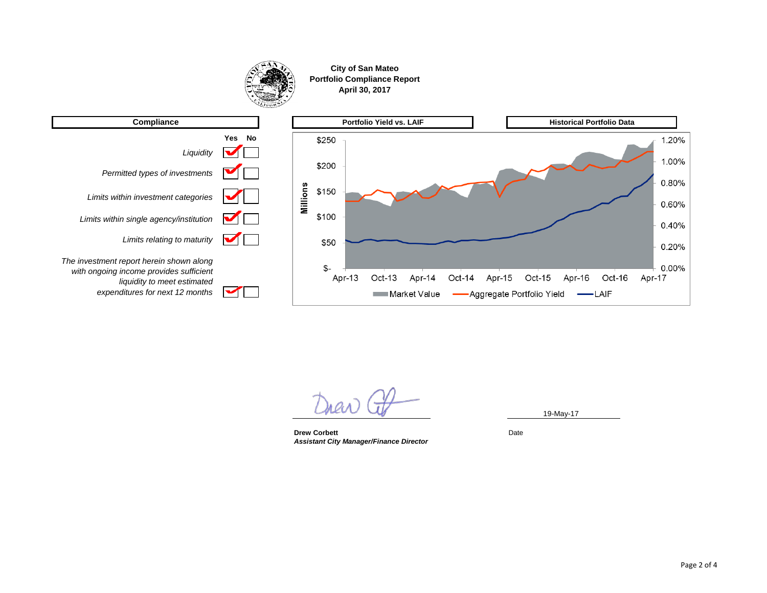





*expenditures for next 12 months*

∽

19-May-17

**Drew Corbett** Date Date Date *Assistant City Manager/Finance Director*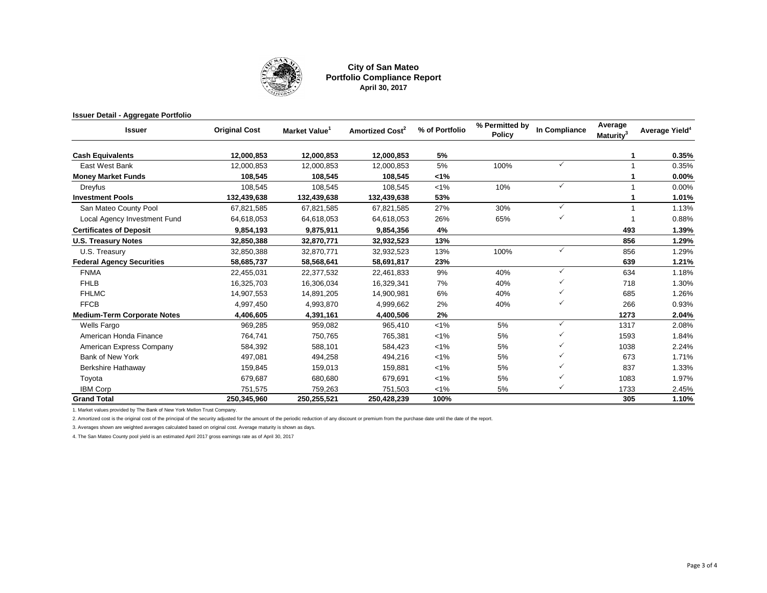

**City of San Mateo Portfolio Compliance Report April 30, 2017**

#### **Issuer Detail - Aggregate Portfolio**

| Issuer                             | <b>Original Cost</b> | Market Value | Amortized Cost <sup>2</sup> | % of Portfolio | % Permitted by<br><b>Policy</b> | In Compliance | Average<br>Maturity <sup>3</sup> | Average Yield <sup>4</sup> |
|------------------------------------|----------------------|--------------|-----------------------------|----------------|---------------------------------|---------------|----------------------------------|----------------------------|
| <b>Cash Equivalents</b>            | 12,000,853           | 12,000,853   | 12,000,853                  | 5%             |                                 |               |                                  | 0.35%                      |
| East West Bank                     | 12.000.853           | 12,000,853   | 12,000,853                  | 5%             | 100%                            | $\checkmark$  |                                  | 0.35%                      |
| <b>Money Market Funds</b>          | 108,545              | 108,545      | 108,545                     | 1%             |                                 |               |                                  | 0.00%                      |
| Dreyfus                            | 108,545              | 108,545      | 108,545                     | 1%             | 10%                             | $\checkmark$  |                                  | 0.00%                      |
| <b>Investment Pools</b>            | 132,439,638          | 132,439,638  | 132,439,638                 | 53%            |                                 |               |                                  | 1.01%                      |
| San Mateo County Pool              | 67,821,585           | 67,821,585   | 67,821,585                  | 27%            | 30%                             | $\checkmark$  |                                  | 1.13%                      |
| Local Agency Investment Fund       | 64,618,053           | 64,618,053   | 64,618,053                  | 26%            | 65%                             |               |                                  | 0.88%                      |
| <b>Certificates of Deposit</b>     | 9,854,193            | 9,875,911    | 9,854,356                   | 4%             |                                 |               | 493                              | 1.39%                      |
| <b>U.S. Treasury Notes</b>         | 32,850,388           | 32,870,771   | 32,932,523                  | 13%            |                                 |               | 856                              | 1.29%                      |
| U.S. Treasury                      | 32,850,388           | 32,870,771   | 32,932,523                  | 13%            | 100%                            | $\checkmark$  | 856                              | 1.29%                      |
| <b>Federal Agency Securities</b>   | 58,685,737           | 58,568,641   | 58,691,817                  | 23%            |                                 |               | 639                              | 1.21%                      |
| <b>FNMA</b>                        | 22,455,031           | 22,377,532   | 22,461,833                  | 9%             | 40%                             | $\checkmark$  | 634                              | 1.18%                      |
| <b>FHLB</b>                        | 16,325,703           | 16,306,034   | 16,329,341                  | 7%             | 40%                             |               | 718                              | 1.30%                      |
| <b>FHLMC</b>                       | 14,907,553           | 14,891,205   | 14,900,981                  | 6%             | 40%                             |               | 685                              | 1.26%                      |
| <b>FFCB</b>                        | 4,997,450            | 4,993,870    | 4,999,662                   | 2%             | 40%                             | ✓             | 266                              | 0.93%                      |
| <b>Medium-Term Corporate Notes</b> | 4,406,605            | 4,391,161    | 4,400,506                   | 2%             |                                 |               | 1273                             | 2.04%                      |
| <b>Wells Fargo</b>                 | 969,285              | 959,082      | 965,410                     | $< 1\%$        | 5%                              | $\checkmark$  | 1317                             | 2.08%                      |
| American Honda Finance             | 764,741              | 750,765      | 765,381                     | $< 1\%$        | 5%                              | ✓             | 1593                             | 1.84%                      |
| American Express Company           | 584,392              | 588,101      | 584,423                     | $< 1\%$        | 5%                              |               | 1038                             | 2.24%                      |
| Bank of New York                   | 497.081              | 494,258      | 494,216                     | $< 1\%$        | 5%                              |               | 673                              | 1.71%                      |
| Berkshire Hathaway                 | 159,845              | 159,013      | 159,881                     | $< 1\%$        | 5%                              |               | 837                              | 1.33%                      |
| Toyota                             | 679,687              | 680,680      | 679,691                     | $< 1\%$        | 5%                              |               | 1083                             | 1.97%                      |
| <b>IBM Corp</b>                    | 751,575              | 759,263      | 751,503                     | $< 1\%$        | 5%                              |               | 1733                             | 2.45%                      |
| <b>Grand Total</b>                 | 250,345,960          | 250,255,521  | 250,428,239                 | 100%           |                                 |               | 305                              | 1.10%                      |

1. Market values provided by The Bank of New York Mellon Trust Company.

2. Amortized cost is the original cost of the principal of the security adjusted for the amount of the periodic reduction of any discount or premium from the purchase date until the date of the report.

3. Averages shown are weighted averages calculated based on original cost. Average maturity is shown as days.

4. The San Mateo County pool yield is an estimated April 2017 gross earnings rate as of April 30, 2017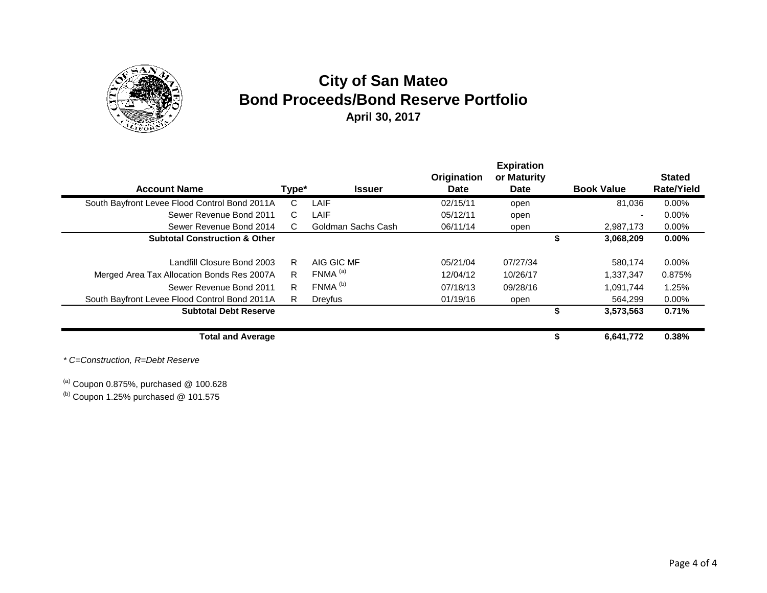

# **City of San Mateo Bond Proceeds/Bond Reserve Portfolio April 30, 2017**

| <b>Account Name</b>                           |                              | Type* | <b>Issuer</b>         | Origination<br>Date | <b>Expiration</b><br>or Maturity<br><b>Date</b> |    | <b>Book Value</b>        | <b>Stated</b><br><b>Rate/Yield</b> |
|-----------------------------------------------|------------------------------|-------|-----------------------|---------------------|-------------------------------------------------|----|--------------------------|------------------------------------|
| South Bayfront Levee Flood Control Bond 2011A |                              | C     | LAIF                  | 02/15/11            | open                                            |    | 81.036                   | $0.00\%$                           |
|                                               | Sewer Revenue Bond 2011      | C.    | LAIF                  | 05/12/11            | open                                            |    | $\overline{\phantom{0}}$ | 0.00%                              |
|                                               | Sewer Revenue Bond 2014      | C.    | Goldman Sachs Cash    | 06/11/14            | open                                            |    | 2,987,173                | 0.00%                              |
| <b>Subtotal Construction &amp; Other</b>      |                              |       |                       |                     |                                                 | ъ  | 3,068,209                | $0.00\%$                           |
|                                               | Landfill Closure Bond 2003   | R.    | AIG GIC MF            | 05/21/04            | 07/27/34                                        |    | 580.174                  | $0.00\%$                           |
| Merged Area Tax Allocation Bonds Res 2007A    |                              | R.    | $FNMA$ <sup>(a)</sup> | 12/04/12            | 10/26/17                                        |    | 1,337,347                | 0.875%                             |
|                                               | Sewer Revenue Bond 2011      | R     | FNMA <sup>(b)</sup>   | 07/18/13            | 09/28/16                                        |    | 1,091,744                | 1.25%                              |
| South Bayfront Levee Flood Control Bond 2011A |                              | R.    | Dreyfus               | 01/19/16            | open                                            |    | 564,299                  | $0.00\%$                           |
|                                               | <b>Subtotal Debt Reserve</b> |       |                       |                     |                                                 |    | 3,573,563                | 0.71%                              |
|                                               | <b>Total and Average</b>     |       |                       |                     |                                                 | \$ | 6,641,772                | 0.38%                              |

*\* C=Construction, R=Debt Reserve*

 $^{(a)}$  Coupon 0.875%, purchased @ 100.628

 $<sup>(b)</sup>$  Coupon 1.25% purchased @ 101.575</sup>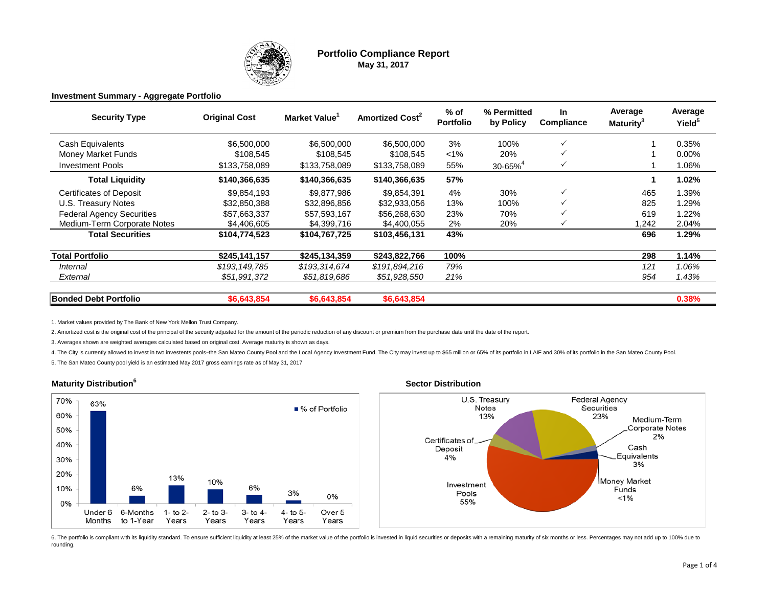

### **Portfolio Compliance Report May 31, 2017**

#### **Investment Summary - Aggregate Portfolio**

| <b>Security Type</b>             | <b>Original Cost</b> | Market Value <sup>1</sup> | <b>Amortized Cost<sup>2</sup></b> | $%$ of<br><b>Portfolio</b> | % Permitted<br>by Policy | In<br>Compliance | Average<br>Maturity <sup>3</sup> | Average<br>Yield <sup>5</sup> |  |
|----------------------------------|----------------------|---------------------------|-----------------------------------|----------------------------|--------------------------|------------------|----------------------------------|-------------------------------|--|
| Cash Equivalents                 | \$6,500,000          | \$6,500,000               | \$6,500,000                       | 3%                         | 100%                     | $\checkmark$     |                                  | 0.35%                         |  |
| Money Market Funds               | \$108,545            | \$108,545                 | \$108,545                         | $1\%$                      | 20%                      | $\checkmark$     |                                  | $0.00\%$                      |  |
| <b>Investment Pools</b>          | \$133,758,089        | \$133,758,089             | \$133,758,089                     | 55%                        | $30 - 65%$ <sup>4</sup>  | $\checkmark$     |                                  | 1.06%                         |  |
| <b>Total Liquidity</b>           | \$140,366,635        | \$140,366,635             | \$140,366,635                     | 57%                        |                          |                  |                                  | 1.02%                         |  |
| <b>Certificates of Deposit</b>   | \$9,854,193          | \$9,877,986               | \$9,854,391                       | 4%                         | 30%                      | ✓                | 465                              | 1.39%                         |  |
| U.S. Treasury Notes              | \$32,850,388         | \$32,896,856              | \$32,933,056                      | 13%                        | 100%                     |                  | 825                              | 1.29%                         |  |
| <b>Federal Agency Securities</b> | \$57,663,337         | \$57,593,167              | \$56,268,630                      | 23%                        | 70%                      |                  | 619                              | 1.22%                         |  |
| Medium-Term Corporate Notes      | \$4,406,605          | \$4,399,716               | \$4,400,055                       | 2%                         | 20%                      |                  | .242                             | 2.04%                         |  |
| Total Securities                 | \$104,774,523        | \$104,767,725             | \$103,456,131                     | 43%                        |                          |                  | 696                              | 1.29%                         |  |
| <b>Total Portfolio</b>           | \$245,141,157        | \$245,134,359             | \$243,822,766                     | 100%                       |                          |                  | 298                              | 1.14%                         |  |
| Internal                         | \$193,149,785        | \$193,314,674             | \$191,894,216                     | 79%                        |                          |                  | 121                              | 1.06%                         |  |
| External                         | \$51,991,372         | \$51,819,686              | \$51,928,550                      | 21%                        |                          |                  | 954                              | 1.43%                         |  |
| <b>Bonded Debt Portfolio</b>     | \$6,643,854          | \$6,643,854               | \$6,643,854                       |                            |                          |                  |                                  | 0.38%                         |  |

1. Market values provided by The Bank of New York Mellon Trust Company.

2. Amortized cost is the original cost of the principal of the security adjusted for the amount of the periodic reduction of any discount or premium from the purchase date until the date of the report.

3. Averages shown are weighted averages calculated based on original cost. Average maturity is shown as days.

4. The City is currently allowed to invest in two investents pools-the San Mateo County Pool and the Local Agency Investment Fund. The City may invest up to \$65 million or 65% of its portfolio in LAIF and 30% of its portfo

5. The San Mateo County pool yield is an estimated May 2017 gross earnings rate as of May 31, 2017

#### **Maturity Distribution<sup>6</sup> Sector Distribution**





6. The portfolio is compliant with its liquidity standard. To ensure sufficient liquidity at least 25% of the market value of the portfolio is invested in liquid securities or deposits with a remaining maturity of six mont rounding.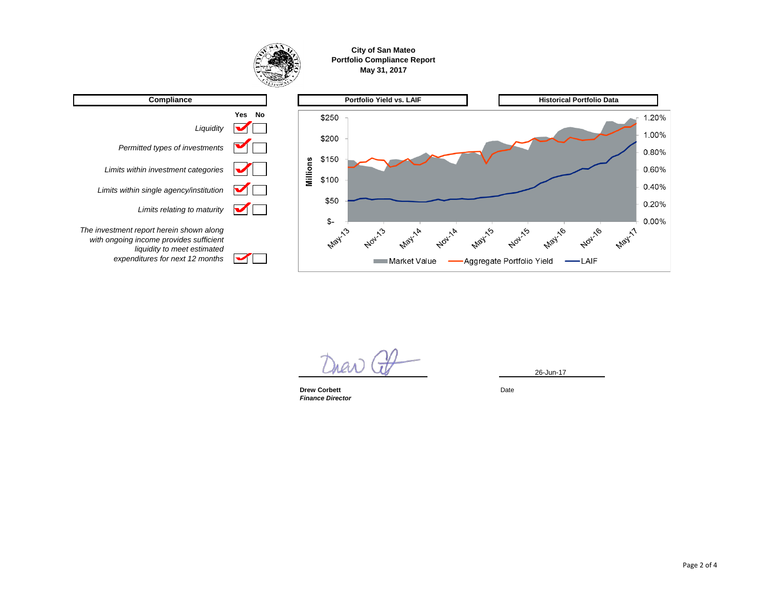

**City of San Mateo Portfolio Compliance Report May 31, 2017**



 $\overline{a}$ 

**Drew Corbett** Date Date Date *Finance Director*

26-Jun-17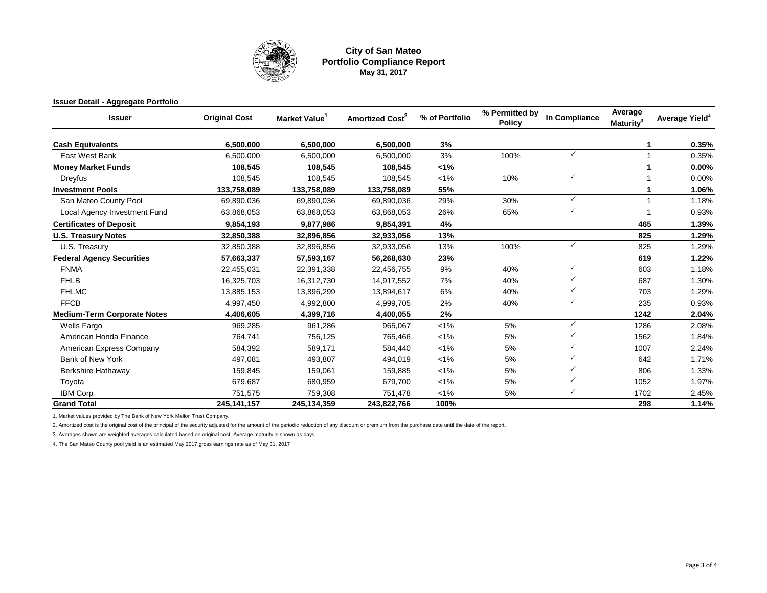

#### **City of San Mateo Portfolio Compliance Report May 31, 2017**

#### **Issuer Detail - Aggregate Portfolio**

| <b>Issuer</b>                      | <b>Original Cost</b> | Market Value <sup>1</sup> | <b>Amortized Cost<sup>2</sup></b> | % of Portfolio | % Permitted by<br><b>Policy</b> | In Compliance | Average<br>Maturity <sup>3</sup> | Average Yield <sup>4</sup> |
|------------------------------------|----------------------|---------------------------|-----------------------------------|----------------|---------------------------------|---------------|----------------------------------|----------------------------|
| <b>Cash Equivalents</b>            | 6,500,000            | 6,500,000                 | 6,500,000                         | 3%             |                                 |               |                                  | 0.35%                      |
| East West Bank                     | 6,500,000            | 6,500,000                 | 6,500,000                         | 3%             | 100%                            | $\checkmark$  |                                  | 0.35%                      |
| <b>Money Market Funds</b>          | 108,545              | 108,545                   | 108,545                           | 1%             |                                 |               |                                  | 0.00%                      |
| Dreyfus                            | 108,545              | 108,545                   | 108,545                           | $< 1\%$        | 10%                             | $\checkmark$  |                                  | 0.00%                      |
| <b>Investment Pools</b>            | 133,758,089          | 133,758,089               | 133,758,089                       | 55%            |                                 |               |                                  | 1.06%                      |
| San Mateo County Pool              | 69,890,036           | 69,890,036                | 69,890,036                        | 29%            | 30%                             | $\checkmark$  |                                  | 1.18%                      |
| Local Agency Investment Fund       | 63,868,053           | 63,868,053                | 63,868,053                        | 26%            | 65%                             | $\checkmark$  |                                  | 0.93%                      |
| <b>Certificates of Deposit</b>     | 9,854,193            | 9,877,986                 | 9,854,391                         | 4%             |                                 |               | 465                              | 1.39%                      |
| <b>U.S. Treasury Notes</b>         | 32,850,388           | 32,896,856                | 32,933,056                        | 13%            |                                 |               | 825                              | 1.29%                      |
| U.S. Treasury                      | 32,850,388           | 32,896,856                | 32,933,056                        | 13%            | 100%                            | $\checkmark$  | 825                              | 1.29%                      |
| <b>Federal Agency Securities</b>   | 57,663,337           | 57,593,167                | 56,268,630                        | 23%            |                                 |               | 619                              | 1.22%                      |
| <b>FNMA</b>                        | 22,455,031           | 22,391,338                | 22,456,755                        | 9%             | 40%                             | $\checkmark$  | 603                              | 1.18%                      |
| <b>FHLB</b>                        | 16,325,703           | 16,312,730                | 14,917,552                        | 7%             | 40%                             | $\checkmark$  | 687                              | 1.30%                      |
| <b>FHLMC</b>                       | 13,885,153           | 13,896,299                | 13,894,617                        | 6%             | 40%                             |               | 703                              | 1.29%                      |
| <b>FFCB</b>                        | 4,997,450            | 4,992,800                 | 4,999,705                         | 2%             | 40%                             | $\checkmark$  | 235                              | 0.93%                      |
| <b>Medium-Term Corporate Notes</b> | 4,406,605            | 4,399,716                 | 4,400,055                         | 2%             |                                 |               | 1242                             | 2.04%                      |
| <b>Wells Fargo</b>                 | 969,285              | 961,286                   | 965,067                           | $< 1\%$        | 5%                              | $\checkmark$  | 1286                             | 2.08%                      |
| American Honda Finance             | 764,741              | 756,125                   | 765,466                           | $< 1\%$        | 5%                              |               | 1562                             | 1.84%                      |
| American Express Company           | 584,392              | 589,171                   | 584,440                           | $< 1\%$        | 5%                              |               | 1007                             | 2.24%                      |
| Bank of New York                   | 497,081              | 493,807                   | 494,019                           | $< 1\%$        | 5%                              | $\checkmark$  | 642                              | 1.71%                      |
| Berkshire Hathaway                 | 159,845              | 159,061                   | 159,885                           | $< 1\%$        | 5%                              |               | 806                              | 1.33%                      |
| Toyota                             | 679,687              | 680,959                   | 679,700                           | $< 1\%$        | 5%                              | $\checkmark$  | 1052                             | 1.97%                      |
| <b>IBM Corp</b>                    | 751,575              | 759,308                   | 751,478                           | $< 1\%$        | 5%                              | $\checkmark$  | 1702                             | 2.45%                      |
| <b>Grand Total</b>                 | 245, 141, 157        | 245,134,359               | 243,822,766                       | 100%           |                                 |               | 298                              | 1.14%                      |

1. Market values provided by The Bank of New York Mellon Trust Company.

2. Amortized cost is the original cost of the principal of the security adjusted for the amount of the periodic reduction of any discount or premium from the purchase date until the date of the report.

3. Averages shown are weighted averages calculated based on original cost. Average maturity is shown as days.

4. The San Mateo County pool yield is an estimated May 2017 gross earnings rate as of May 31, 2017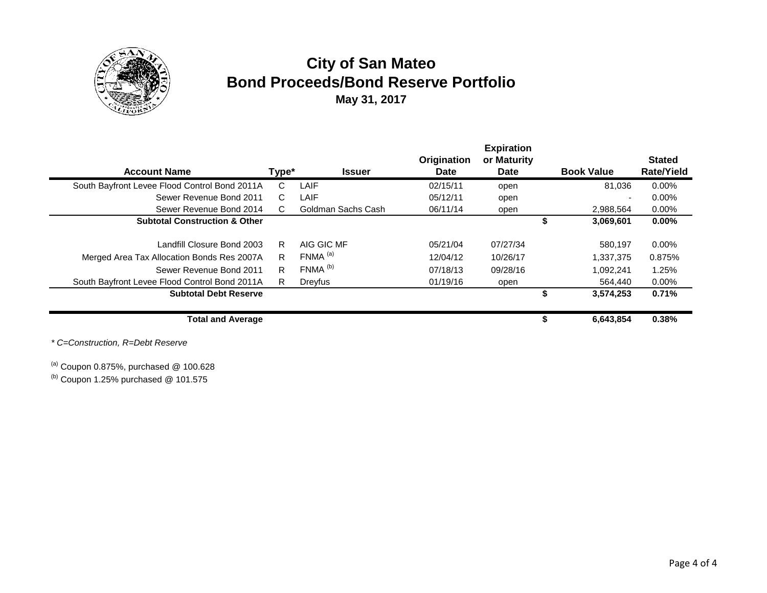

# **City of San Mateo Bond Proceeds/Bond Reserve Portfolio May 31, 2017**

| <b>Account Name</b>                           | Type* | <b>Issuer</b>         | Origination<br><b>Date</b> | <b>Expiration</b><br>or Maturity<br>Date | <b>Book Value</b> | <b>Stated</b><br><b>Rate/Yield</b> |
|-----------------------------------------------|-------|-----------------------|----------------------------|------------------------------------------|-------------------|------------------------------------|
| South Bayfront Levee Flood Control Bond 2011A | C     | LAIF                  | 02/15/11                   | open                                     | 81.036            | $0.00\%$                           |
| Sewer Revenue Bond 2011                       | C.    | LAIF                  | 05/12/11                   | open                                     |                   | $0.00\%$                           |
| Sewer Revenue Bond 2014                       | C.    | Goldman Sachs Cash    | 06/11/14                   | open                                     | 2,988,564         | 0.00%                              |
| <b>Subtotal Construction &amp; Other</b>      |       |                       |                            |                                          | 3,069,601         | $0.00\%$                           |
| Landfill Closure Bond 2003                    | R     | AIG GIC MF            | 05/21/04                   | 07/27/34                                 | 580,197           | $0.00\%$                           |
| Merged Area Tax Allocation Bonds Res 2007A    | R     | FNMA <sup>(a)</sup>   | 12/04/12                   | 10/26/17                                 | 1,337,375         | 0.875%                             |
| Sewer Revenue Bond 2011                       | R     | $FNMA$ <sup>(b)</sup> | 07/18/13                   | 09/28/16                                 | 1.092.241         | 1.25%                              |
| South Bayfront Levee Flood Control Bond 2011A | R.    | Dreyfus               | 01/19/16                   | open                                     | 564,440           | $0.00\%$                           |
| <b>Subtotal Debt Reserve</b>                  |       |                       |                            |                                          | 3,574,253         | 0.71%                              |
| <b>Total and Average</b>                      |       |                       |                            |                                          | \$<br>6,643,854   | 0.38%                              |

*\* C=Construction, R=Debt Reserve*

 $^{(a)}$  Coupon 0.875%, purchased @ 100.628

 $<sup>(b)</sup>$  Coupon 1.25% purchased @ 101.575</sup>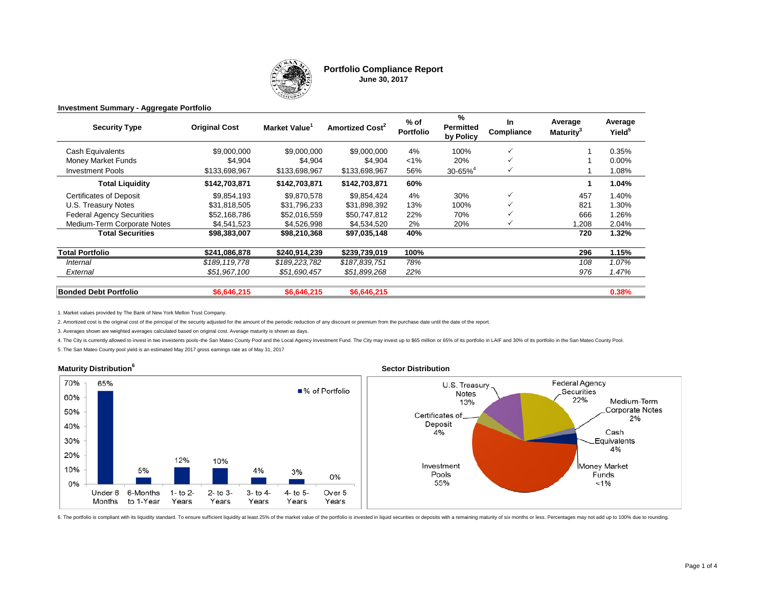

#### **Portfolio Compliance Report June 30, 2017**

#### **Investment Summary - Aggregate Portfolio**

| <b>Security Type</b>             | <b>Original Cost</b> | Market Value <sup>1</sup> | Amortized Cost <sup>2</sup> | $%$ of<br><b>Portfolio</b> | %<br><b>Permitted</b><br>by Policy | <b>In</b><br>Compliance | Average<br>Maturitv <sup>3</sup> | Average<br>Yield <sup>5</sup> |
|----------------------------------|----------------------|---------------------------|-----------------------------|----------------------------|------------------------------------|-------------------------|----------------------------------|-------------------------------|
| Cash Equivalents                 | \$9,000,000          | \$9,000,000               | \$9,000,000                 | 4%                         | 100%                               | $\checkmark$            |                                  | 0.35%                         |
| Money Market Funds               | \$4,904              | \$4,904                   | \$4.904                     | $< 1\%$                    | 20%                                |                         |                                  | $0.00\%$                      |
| <b>Investment Pools</b>          | \$133,698,967        | \$133,698,967             | \$133,698,967               | 56%                        | $30 - 65\%$ <sup>4</sup>           | $\checkmark$            |                                  | 1.08%                         |
| <b>Total Liquidity</b>           | \$142,703,871        | \$142,703,871             | \$142,703,871               | 60%                        |                                    |                         |                                  | 1.04%                         |
| <b>Certificates of Deposit</b>   | \$9,854,193          | \$9,870,578               | \$9,854,424                 | 4%                         | 30%                                | $\checkmark$            | 457                              | 1.40%                         |
| U.S. Treasury Notes              | \$31,818,505         | \$31,796,233              | \$31,898,392                | 13%                        | 100%                               |                         | 821                              | 1.30%                         |
| <b>Federal Agency Securities</b> | \$52,168,786         | \$52,016,559              | \$50,747,812                | 22%                        | 70%                                |                         | 666                              | 1.26%                         |
| Medium-Term Corporate Notes      | \$4,541,523          | \$4,526,998               | \$4,534,520                 | 2%                         | 20%                                |                         | .208                             | 2.04%                         |
| <b>Total Securities</b>          | \$98,383,007         | \$98,210,368              | \$97,035,148                | 40%                        |                                    |                         | 720                              | 1.32%                         |
| <b>Total Portfolio</b>           | \$241,086,878        | \$240.914.239             | \$239,739,019               | 100%                       |                                    |                         | 296                              | 1.15%                         |
| Internal                         | \$189,119,778        | \$189,223,782             | \$187,839,751               | 78%                        |                                    |                         | 108                              | 1.07%                         |
| External                         | \$51,967,100         | \$51,690,457              | \$51,899,268                | 22%                        |                                    |                         | 976                              | 1.47%                         |
| <b>Bonded Debt Portfolio</b>     | \$6,646,215          | \$6,646,215               | \$6,646,215                 |                            |                                    |                         |                                  | 0.38%                         |

1. Market values provided by The Bank of New York Mellon Trust Company.

2. Amortized cost is the original cost of the principal of the security adjusted for the amount of the periodic reduction of any discount or premium from the purchase date until the date of the report.

3. Averages shown are weighted averages calculated based on original cost. Average maturity is shown as days.

4. The City is currently allowed to invest in two investents pools-the San Mateo County Pool and the Local Agency Investment Fund. The City may invest up to \$65 million or 65% of its portfolio in LAIF and 30% of its portfo

5. The San Mateo County pool yield is an estimated May 2017 gross earnings rate as of May 31, 2017



6. The portfolio is compliant with its liquidity standard. To ensure sufficient liquidity at least 25% of the market value of the portfolio is invested in liquid securities or deposits with a remaining maturity of six mont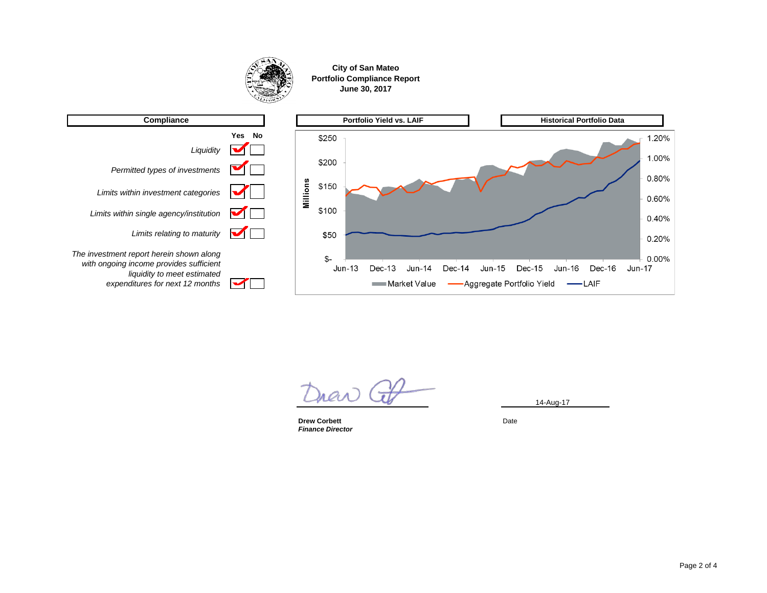

**City of San Mateo Portfolio Compliance Report June 30, 2017**



14-Aug-17

**Drew Corbett** Date *Finance Director*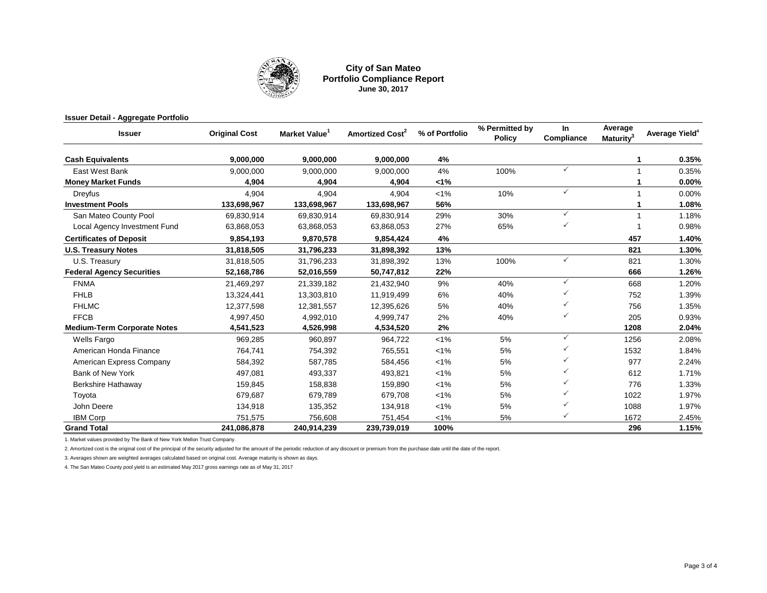

#### **City of San Mateo Portfolio Compliance Report June 30, 2017**

| <b>Issuer Detail - Aggregate Portfolio</b> |                      |              |                             |                |                                 |                   |                                  |                            |
|--------------------------------------------|----------------------|--------------|-----------------------------|----------------|---------------------------------|-------------------|----------------------------------|----------------------------|
| <b>Issuer</b>                              | <b>Original Cost</b> | Market Value | Amortized Cost <sup>2</sup> | % of Portfolio | % Permitted by<br><b>Policy</b> | In.<br>Compliance | Average<br>Maturity <sup>3</sup> | Average Yield <sup>4</sup> |
| <b>Cash Equivalents</b>                    | 9,000,000            | 9.000.000    | 9,000,000                   | 4%             |                                 |                   |                                  | 0.35%                      |
| East West Bank                             | 9,000,000            | 9.000.000    | 9.000.000                   | 4%             | 100%                            | ✓                 |                                  | 0.35%                      |
| <b>Money Market Funds</b>                  | 4,904                | 4,904        | 4,904                       | 1%             |                                 |                   |                                  | 0.00%                      |
| Dreyfus                                    | 4.904                | 4.904        | 4.904                       | $1\%$          | 10%                             | $\checkmark$      |                                  | 0.00%                      |
| <b>Investment Pools</b>                    | 133,698,967          | 133,698,967  | 133,698,967                 | 56%            |                                 |                   |                                  | 1.08%                      |
| San Mateo County Pool                      | 69,830,914           | 69,830,914   | 69,830,914                  | 29%            | 30%                             | $\checkmark$      |                                  | 1.18%                      |
| Local Agency Investment Fund               | 63,868,053           | 63,868,053   | 63,868,053                  | 27%            | 65%                             | ✓                 |                                  | 0.98%                      |
| <b>Certificates of Deposit</b>             | 9,854,193            | 9,870,578    | 9,854,424                   | 4%             |                                 |                   | 457                              | 1.40%                      |
| <b>U.S. Treasury Notes</b>                 | 31,818,505           | 31,796,233   | 31,898,392                  | 13%            |                                 |                   | 821                              | 1.30%                      |
| U.S. Treasury                              | 31,818,505           | 31,796,233   | 31,898,392                  | 13%            | 100%                            | $\checkmark$      | 821                              | 1.30%                      |
| <b>Federal Agency Securities</b>           | 52,168,786           | 52,016,559   | 50,747,812                  | 22%            |                                 |                   | 666                              | 1.26%                      |
| <b>FNMA</b>                                | 21,469,297           | 21,339,182   | 21,432,940                  | 9%             | 40%                             | $\checkmark$      | 668                              | 1.20%                      |
| <b>FHLB</b>                                | 13,324,441           | 13,303,810   | 11,919,499                  | 6%             | 40%                             |                   | 752                              | 1.39%                      |
| <b>FHLMC</b>                               | 12,377,598           | 12,381,557   | 12,395,626                  | 5%             | 40%                             | ✓                 | 756                              | 1.35%                      |
| <b>FFCB</b>                                | 4,997,450            | 4,992,010    | 4,999,747                   | 2%             | 40%                             | ✓                 | 205                              | 0.93%                      |
| <b>Medium-Term Corporate Notes</b>         | 4,541,523            | 4,526,998    | 4,534,520                   | 2%             |                                 |                   | 1208                             | 2.04%                      |
| Wells Fargo                                | 969,285              | 960,897      | 964,722                     | $< 1\%$        | 5%                              | ✓                 | 1256                             | 2.08%                      |
| American Honda Finance                     | 764,741              | 754,392      | 765,551                     | $< 1\%$        | 5%                              |                   | 1532                             | 1.84%                      |
| American Express Company                   | 584,392              | 587.785      | 584,456                     | $< 1\%$        | 5%                              | ✓                 | 977                              | 2.24%                      |
| <b>Bank of New York</b>                    | 497,081              | 493,337      | 493,821                     | $< 1\%$        | 5%                              |                   | 612                              | 1.71%                      |
| <b>Berkshire Hathaway</b>                  | 159,845              | 158,838      | 159,890                     | $1\%$          | 5%                              |                   | 776                              | 1.33%                      |
| Toyota                                     | 679,687              | 679,789      | 679,708                     | $< 1\%$        | 5%                              |                   | 1022                             | 1.97%                      |
| John Deere                                 | 134,918              | 135,352      | 134,918                     | $< 1\%$        | 5%                              |                   | 1088                             | 1.97%                      |
| <b>IBM Corp</b>                            | 751,575              | 756,608      | 751,454                     | $< 1\%$        | 5%                              | ✓                 | 1672                             | 2.45%                      |
| <b>Grand Total</b>                         | 241,086,878          | 240,914,239  | 239,739,019                 | 100%           |                                 |                   | 296                              | 1.15%                      |

1. Market values provided by The Bank of New York Mellon Trust Company.

2. Amortized cost is the original cost of the principal of the security adjusted for the amount of the periodic reduction of any discount or premium from the purchase date until the date of the report.

3. Averages shown are weighted averages calculated based on original cost. Average maturity is shown as days.

4. The San Mateo County pool yield is an estimated May 2017 gross earnings rate as of May 31, 2017